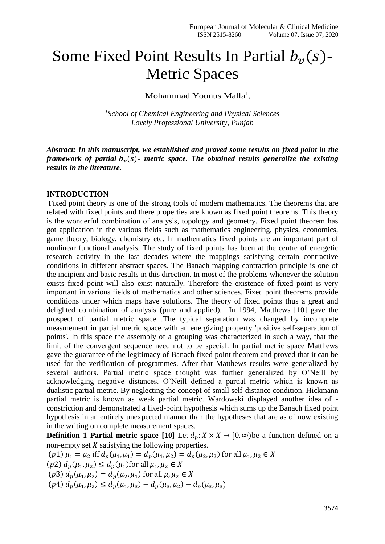## Some Fixed Point Results In Partial  $b_\nu(s)$ -Metric Spaces

Mohammad Younus Malla<sup>1</sup>,

*1 School of Chemical Engineering and Physical Sciences Lovely Professional University, Punjab*

*Abstract: In this manuscript, we established and proved some results on fixed point in the framework of partial*  $b<sub>v</sub>(s)$ - *metric space. The obtained results generalize the existing results in the literature.*

## **INTRODUCTION**

Fixed point theory is one of the strong tools of modern mathematics. The theorems that are related with fixed points and there properties are known as fixed point theorems. This theory is the wonderful combination of analysis, topology and geometry. Fixed point theorem has got application in the various fields such as mathematics engineering, physics, economics, game theory, biology, chemistry etc. In mathematics fixed points are an important part of nonlinear functional analysis. The study of fixed points has been at the centre of energetic research activity in the last decades where the mappings satisfying certain contractive conditions in different abstract spaces. The Banach mapping contraction principle is one of the incipient and basic results in this direction. In most of the problems whenever the solution exists fixed point will also exist naturally. Therefore the existence of fixed point is very important in various fields of mathematics and other sciences. Fixed point theorems provide conditions under which maps have solutions. The theory of fixed points thus a great and delighted combination of analysis (pure and applied). In 1994, Matthews [10] gave the prospect of partial metric space .The typical separation was changed by incomplete measurement in partial metric space with an energizing property 'positive self-separation of points'. In this space the assembly of a grouping was characterized in such a way, that the limit of the convergent sequence need not to be special. In partial metric space Matthews gave the guarantee of the legitimacy of Banach fixed point theorem and proved that it can be used for the verification of programmes. After that Matthews results were generalized by several authors. Partial metric space thought was further generalized by O'Neill by acknowledging negative distances. O'Neill defined a partial metric which is known as dualistic partial metric. By neglecting the concept of small self-distance condition. Hickmann partial metric is known as weak partial metric. Wardowski displayed another idea of constriction and demonstrated a fixed-point hypothesis which sums up the Banach fixed point hypothesis in an entirely unexpected manner than the hypotheses that are as of now existing in the writing on complete measurement spaces.

**Definition 1 Partial-metric space [10]** Let  $d_p: X \times X \to [0, \infty)$  be a function defined on a non-empty set  $X$  satisfying the following properties.

 $(p1)$   $\mu_1 = \mu_2$  iff  $d_p(\mu_1, \mu_1) = d_p(\mu_1, \mu_2) = d_p(\mu_2, \mu_2)$  for all  $\mu_1, \mu_2 \in X$  $(p2) d_p(\mu_1, \mu_2) \leq d_p(\mu_1)$  for all  $\mu_1, \mu_2 \in X$  $(p3) d_p(\mu_1, \mu_2) = d_p(\mu_2, \mu_1)$  for all  $\mu, \mu_2 \in X$  $(p4) d_p(\mu_1, \mu_2) \leq d_p(\mu_1, \mu_3) + d_p(\mu_3, \mu_2) - d_p(\mu_3, \mu_3)$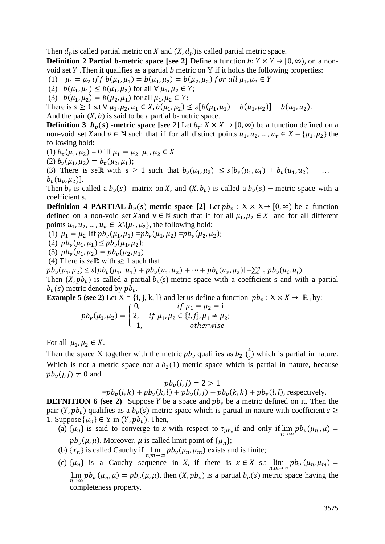Then  $d_n$  is called partial metric on X and  $(X, d_n)$  is called partial metric space.

**Definition 2 Partial b-metric space [see 2]** Define a function  $b: Y \times Y \rightarrow [0, \infty)$ , on a nonvoid set  $Y$ . Then it qualifies as a partial  $b$  metric on  $Y$  if it holds the following properties:

(1)  $\mu_1 = \mu_2$  if  $f b(\mu_1, \mu_1) = b(\mu_1, \mu_2) = b(\mu_2, \mu_2)$  for all  $\mu_1, \mu_2 \in Y$ 

(2)  $b(\mu_1, \mu_1) \leq b(\mu_1, \mu_2)$  for all  $\forall \mu_1, \mu_2 \in Y$ ;

(3)  $b(\mu_1, \mu_2) = b(\mu_2, \mu_1)$  for all  $\mu_1, \mu_2 \in Y$ ;

There is  $s \ge 1$  s.t  $\forall \mu_1, \mu_2, u_1 \in X$ ,  $b(\mu_1, \mu_2) \le s[b(\mu_1, u_1) + b(u_1, \mu_2)] - b(u_1, u_2)$ .

And the pair  $(X, b)$  is said to be a partial b-metric space.

**Definition 3**  $b_v(s)$  -metric space [see 2] Let  $b_v: X \times X \to [0, \infty)$  be a function defined on a non-void set X and  $v \in \mathbb{N}$  such that if for all distinct points  $u_1, u_2, ..., u_v \in X - \{\mu_1, \mu_2\}$  the following hold:

(1)  $b_v(\mu_1, \mu_2) = 0$  iff  $\mu_1 = \mu_2$   $\mu_1, \mu_2 \in X$ 

(2) 
$$
b_v(\mu_1, \mu_2) = b_v(\mu_2, \mu_1);
$$

(3) There is s $\epsilon \mathbb{R}$  with s  $\geq 1$  such that  $b_v(\mu_1, \mu_2) \leq s[b_v(\mu_1, u_1) + b_v(u_1, u_2) + ... + b_v(u_n, u_n)]$  $b_v(u_v, \mu_2)$ ].

Then  $b_v$  is called a  $b_v(s)$ - matrix on X, and  $(X, b_v)$  is called a  $b_v(s)$  – metric space with a coefficient s.

**Definition 4 PARTIAL**  $b_v(s)$  **metric space [2] Let**  $pb_v : X \times X \rightarrow [0, \infty)$  **be a function** defined on a non-void set X and  $v \in \mathbb{N}$  such that if for all  $\mu_1, \mu_2 \in X$  and for all different points  $u_1, u_2, ..., u_v \in X \setminus \{u_1, u_2\}$ , the following hold:

(1)  $\mu_1 = \mu_2 \text{ If } pb_\nu(\mu_1, \mu_1) = pb_\nu(\mu_1, \mu_2) = pb_\nu(\mu_2, \mu_2);$ 

- (2)  $pb_v(\mu_1, \mu_1) \leq pb_v(\mu_1, \mu_2);$
- (3)  $pb_v(\mu_1, \mu_2) = pb_v(\mu_2, \mu_1)$
- (4) There is  $s \in \mathbb{R}$  with s 1 such that

 $pb_v(\mu_1, \mu_2) \leq s[pb_v(\mu_1, u_1) + pb_v(u_1, u_2) + \cdots + pb_v(u_v, \mu_2)] - \sum_{i=1}^n pb_v(u_i, u_i)$ 

Then  $(X, pb_v)$  is called a partial  $b_v(s)$ -metric space with a coefficient s and with a partial  $b_v(s)$  metric denoted by  $pb_v$ .

**Example 5 (see 2)** Let  $X = \{i, j, k, l\}$  and let us define a function  $pb_v : X \times X \to \mathbb{R}_+$ by:  $if u_{1} = u_{2} = i$ 

$$
pb_v(\mu_1, \mu_2) = \begin{cases} 0, & \text{if } \mu_1 - \mu_2 - 1 \\ 2, & \text{if } \mu_1, \mu_2 \in \{i, j\}, \mu_1 \neq \mu_2; \\ 1, & \text{otherwise} \end{cases}
$$

For all  $\mu_1, \mu_2 \in X$ .

Then the space X together with the metric  $pb_v$  qualifies as  $b_2 \left(\frac{4}{3}\right)$  $\frac{4}{3}$ ) which is partial in nature. Which is not a metric space nor a  $b<sub>2</sub>(1)$  metric space which is partial in nature, because  $pb<sub>v</sub>(i, i) \neq 0$  and

$$
pb_v(i,j)=2>1
$$

 $= pb_v(i, k) + pb_v(k, l) + pb_v(l, j) - pb_v(k, k) + pb_v(l, l)$ , respectively.

**DEFNITION 6 (see 2)** Suppose Y be a space and  $pb<sub>n</sub>$  be a metric defined on it. Then the pair  $(Y, pb_v)$  qualifies as a  $b_v(s)$ -metric space which is partial in nature with coefficient  $s \geq$ 1. Suppose  $\{\mu_n\} \in Y$  in  $(Y, pb_v)$ . Then,

- (a)  $\{\mu_n\}$  is said to converge to x with respect to  $\tau_{pb_v}$  if and only if  $\lim_{n\to\infty} pb_v(\mu_n, \mu) =$  $pb_{\nu}(\mu, \mu)$ . Moreover,  $\mu$  is called limit point of  $\{\mu_n\};$
- (b)  $\{x_n\}$  is called Cauchy if  $\lim_{n,m \to \infty} pb_\nu(\mu_n, \mu_m)$  exists and is finite;
- (c)  $\{\mu_n\}$  is a Cauchy sequence in X, if there is  $x \in X$  s.t  $\lim_{n,m \to \infty} pb_v (\mu_n, \mu_m) =$  $\lim_{n\to\infty} pb_\nu(\mu_n, \mu) = pb_\nu(\mu, \mu)$ , then  $(X, pb_\nu)$  is a partial  $b_\nu(s)$  metric space having the completeness property.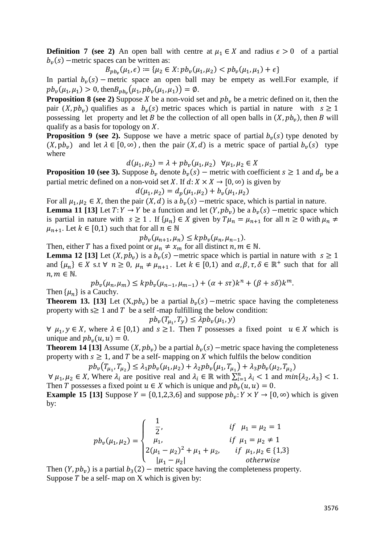**Definition 7 (see 2)** An open ball with centre at  $\mu_1 \in X$  and radius  $\epsilon > 0$  of a partial  $b_v(s)$  –metric spaces can be written as:

$$
B_{p b_v}(\mu_1, \epsilon) := \{ \mu_2 \in X : p b_v(\mu_1, \mu_2) < p b_v(\mu_1, \mu_1) + \epsilon \}
$$

In partial  $b_v(s)$  – metric space an open ball may be empety as well. For example, if  $pb_v(\mu_1, \mu_1) > 0$ , then $B_{pb_v}(\mu_1, pb_v(\mu_1, \mu_1)) = \emptyset$ .

**Proposition 8 (see 2)** Suppose X be a non-void set and  $pb<sub>v</sub>$  be a metric defined on it, then the pair  $(X, pb_v)$  qualifies as a  $b_v(s)$  metric spaces which is partial in nature with  $s \ge 1$ possessing let property and let *B* be the collection of all open balls in  $(X, pb_v)$ , then *B* will qualify as a basis for topology on  $X$ .

**Proposition 9 (see 2).** Suppose we have a metric space of partial  $b_v(s)$  type denoted by  $(X, pb_v)$  and let  $\lambda \in [0, \infty)$ , then the pair  $(X, d)$  is a metric space of partial  $b_v(s)$  type where

$$
d(\mu_1, \mu_2) = \lambda + p b_v(\mu_1, \mu_2) \ \forall \mu_1, \mu_2 \in X
$$

**Proposition 10 (see 3).** Suppose  $b_v$  denote  $b_v(s)$  – metric with coefficient  $s \ge 1$  and  $d_p$  be a partial metric defined on a non-void set X. If  $d: X \times X \rightarrow [0, \infty)$  is given by

 $d(\mu_1, \mu_2) = d_p(\mu_1, \mu_2) + b_v(\mu_1, \mu_2)$ 

For all  $\mu_1, \mu_2 \in X$ , then the pair  $(X, d)$  is a  $b_\nu(s)$  –metric space, which is partial in nature.

**Lemma 11 [13]** Let  $T: Y \to Y$  be a function and let  $(Y, pb_v)$  be a  $b_v(s)$  –metric space which is partial in nature with  $s \ge 1$ . If  $\{\mu_n\} \in X$  given by  $T\mu_n = \mu_{n+1}$  for all  $n \ge 0$  with  $\mu_n \ne$  $\mu_{n+1}$ . Let  $k \in [0,1)$  such that for all  $n \in \mathbb{N}$ 

$$
pb_v(\mu_{n+1}, \mu_n) \le kpb_v(\mu_n, \mu_{n-1}).
$$

Then, either T has a fixed point or  $\mu_n \neq x_m$  for all distinct  $n, m \in \mathbb{N}$ . **Lemma 12 [13]** Let  $(X, pb_v)$  is a  $b_v(s)$  –metric space which is partial in nature with  $s \ge 1$ and  $\{\mu_n\} \in X$  s.t  $\forall n \geq 0$ ,  $\mu_n \neq \mu_{n+1}$ . Let  $k \in [0,1)$  and  $\alpha, \beta, \tau, \delta \in \mathbb{R}^+$  such that for all  $n, m \in \mathbb{N}$ .

$$
pb_v(\mu_n, \mu_m) \le kpb_v(\mu_{n-1}, \mu_{m-1}) + (\alpha + s\tau)k^n + (\beta + s\delta)k^m.
$$

Then  $\{\mu_n\}$  is a Cauchy.

**Theorem 13. [13]** Let  $(X, pb_v)$  be a partial  $b_v(s)$  –metric space having the completeness property with  $s \geq 1$  and T be a self -map fulfilling the below condition:

$$
pb_v(T_{\mu_1}, T_y) \le \lambda pb_v(\mu_1, y)
$$

 $\forall \mu_1, \gamma \in X$ , where  $\lambda \in [0,1)$  and  $s \ge 1$ . Then T possesses a fixed point  $u \in X$  which is unique and  $pb<sub>v</sub>(u, u) = 0$ .

**Theorem 14 [13]** Assume  $(X, pb_v)$  be a partial  $b_v(s)$  –metric space having the completeness property with  $s \geq 1$ , and T be a self- mapping on X which fulfils the below condition

$$
pb_v(T_{\mu_1}, T_{\mu_2}) \le \lambda_1 pb_v(\mu_1, \mu_2) + \lambda_2 pb_v(\mu_1, T_{\mu_1}) + \lambda_3 pb_v(\mu_2, T_{\mu_2})
$$

 $\forall \mu_1, \mu_2 \in X$ , Where  $\lambda_i$  are positive real and  $\lambda_i \in \mathbb{R}$  with  $\sum_{i=1}^n \lambda_i < 1$  and  $min\{\lambda_2, \lambda_3\} < 1$ . Then T possesses a fixed point  $u \in X$  which is unique and  $pb_v(u, u) = 0$ .

**Example 15 [13]** Suppose  $Y = \{0, 1, 2, 3, 6\}$  and suppose  $pb_n: Y \times Y \rightarrow [0, \infty)$  which is given by:

$$
pb_{\nu}(\mu_1, \mu_2) = \begin{cases} \frac{1}{2}, & if \mu_1 = \mu_2 = 1 \\ \mu_1, & if \mu_1 = \mu_2 \neq 1 \\ 2(\mu_1 - \mu_2)^2 + \mu_1 + \mu_2, & if \mu_1, \mu_2 \in \{1, 3\} \\ |\mu_1 - \mu_2| & otherwise \end{cases}
$$

Then  $(Y, pb_v)$  is a partial  $b_3(2)$  – metric space having the completeness property. Suppose  $T$  be a self- map on  $X$  which is given by: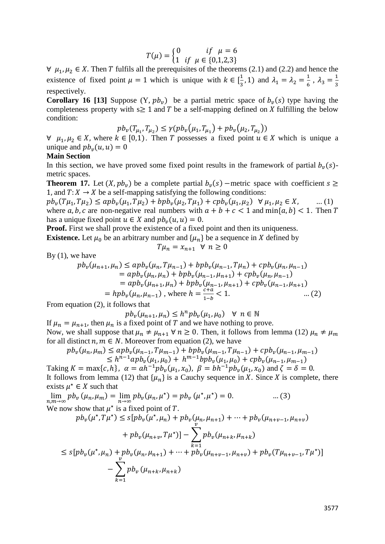$$
T(\mu) = \begin{cases} 0 & if \ \mu = 6 \\ 1 & if \ \mu \in \{0,1,2,3\} \end{cases}
$$

 $\forall \mu_1, \mu_2 \in X$ . Then T fulfils all the prerequisites of the theorems (2.1) and (2.2) and hence the existence of fixed point  $\mu = 1$  which is unique with  $k \in \left[\frac{1}{2}\right]$  $(\frac{1}{3}, 1)$  and  $\lambda_1 = \lambda_2 = \frac{1}{6}$  $\frac{1}{6}$ ,  $\lambda_3 = \frac{1}{3}$ 3 respectively.

**Corollary 16 [13]** Suppose  $(Y, pb_v)$  be a partial metric space of  $b_v(s)$  type having the completeness property with  $s \geq 1$  and T be a self-mapping defined on X fulfilling the below condition:

$$
pb_v(T_{\mu_1}, T_{\mu_2}) \le \gamma (pb_v(\mu_1, T_{\mu_1}) + pb_v(\mu_2, T_{\mu_2}))
$$

 $\forall$   $\mu_1, \mu_2 \in X$ , where  $k \in [0,1)$ . Then T possesses a fixed point  $u \in X$  which is unique a unique and  $pb_v(u, u) = 0$ 

## **Main Section**

In this section, we have proved some fixed point results in the framework of partial  $b<sub>v</sub>(s)$ metric spaces.

**Theorem 17.** Let  $(X, pb_v)$  be a complete partial  $b_v(s)$  –metric space with coefficient  $s \geq$ 1, and  $T: X \to X$  be a self-mapping satisfying the following conditions:

 $pb_v(T\mu_1, T\mu_2) \leq apb_v(\mu_1, T\mu_2) + bpb_v(\mu_2, T\mu_1) + cpb_v(\mu_1, \mu_2) \ \ \forall \mu_1, \mu_2 \in X, \quad \dots (1)$ where a, b, c are non-negative real numbers with  $a + b + c < 1$  and  $\min\{a, b\} < 1$ . Then T has a unique fixed point  $u \in X$  and  $pb_v(u, u) = 0$ .

**Proof.** First we shall prove the existence of a fixed point and then its uniqueness. **Existence.** Let  $\mu_0$  be an arbitrary number and  $\{\mu_n\}$  be a sequence in X defined by

$$
T\mu_n = x_{n+1} \ \forall \ n \geq 0
$$

By  $(1)$ , we have

$$
pb_v(\mu_{n+1}, \mu_n) \leq app_v(\mu_n, T\mu_{n-1}) + bpb_v(\mu_{n-1}, T\mu_n) + cpb_v(\mu_n, \mu_{n-1})
$$
  
=  $app_v(\mu_n, \mu_n) + bpb_v(\mu_{n-1}, \mu_{n+1}) + cpb_v(\mu_n, \mu_{n-1})$   
=  $app_v(\mu_{n+1}, \mu_n) + bpb_v(\mu_{n-1}, \mu_{n+1}) + cpb_v(\mu_{n-1}, \mu_{n+1})$   
=  $hpb_v(\mu_n, \mu_{n-1})$ , where  $h = \frac{c+a}{1-b} < 1$ . ... (2)

From equation (2), it follows that

 $pb_v(\mu_{n+1}, \mu_n) \leq h^n pb_v(\mu_1, \mu_0) \quad \forall \ n \in \mathbb{N}$ If  $\mu_n = \mu_{n+1}$ , then  $\mu_n$  is a fixed point of T and we have nothing to prove.

Now, we shall suppose that  $\mu_n \neq \mu_{n+1} \forall n \geq 0$ . Then, it follows from lemma (12)  $\mu_n \neq \mu_m$ for all distinct  $n, m \in N$ . Moreover from equation (2), we have

$$
pb_v(\mu_n, \mu_m) \leq apb_v(\mu_{n-1}, T\mu_{m-1}) + bpb_v(\mu_{m-1}, T\mu_{n-1}) + cpb_v(\mu_{n-1}, \mu_{m-1})
$$
  
\n
$$
\leq h^{n-1}apb_v(\mu_1, \mu_0) + h^{m-1}bpb_v(\mu_1, \mu_0) + cpb_v(\mu_{n-1}, \mu_{m-1})
$$

Taking  $K = \max\{c, h\}$ ,  $\alpha = ah^{-1}pb_v(\mu_1, x_0)$ ,  $\beta = bh^{-1}pb_v(\mu_1, x_0)$  and  $\zeta = \delta = 0$ . It follows from lemma (12) that  $\{\mu_n\}$  is a Cauchy sequence in X. Since X is complete, there exists  $\mu^* \in X$  such that

 $\lim_{n,m \to \infty} pb_{\nu} (\mu_n, \mu_m) = \lim_{n \to \infty} pb_{\nu} (\mu_n, \mu^*) = pb_{\nu} (\mu^*, \mu^*) = 0.$  ... (3) We now show that  $\mu^*$  is a fixed point of T.

$$
pb_v(\mu^*, T\mu^*) \le s[pb_v(\mu^*, \mu_n) + pb_v(\mu_n, \mu_{n+1}) + \dots + pb_v(\mu_{n+v-1}, \mu_{n+v})
$$
  
+  $pb_v(\mu_{n+v}, T\mu^*)$  -  $\sum_{k=1}^{v} pb_v(\mu_{n+k}, \mu_{n+k})$   
 $\le s[pb_v(\mu^*, \mu_n) + pb_v(\mu_n, \mu_{n+1}) + \dots + pb_v(\mu_{n+v-1}, \mu_{n+v}) + pb_v(T\mu_{n+v-1}, T\mu^*)]$   
-  $\sum_{k=1}^{v} pb_v(\mu_{n+k}, \mu_{n+k})$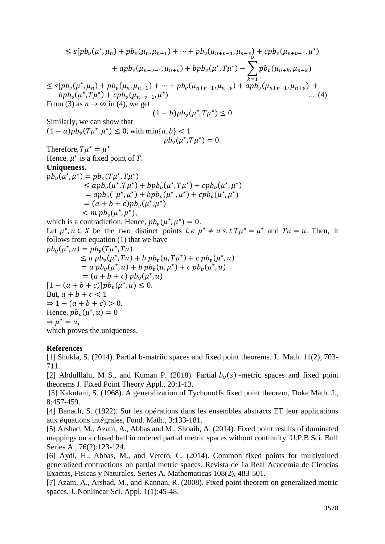$$
\leq s[pb_v(\mu^*, \mu_n) + pb_v(\mu_n, \mu_{n+1}) + \cdots + pb_v(\mu_{n+v-1}, \mu_{n+v}) + cpb_v(\mu_{n+v-1}, \mu^*)
$$
  
+  $apb_v(\mu_{n+v-1}, \mu_{n+v}) + bpb_v(\mu^*, T\mu^*) - \sum_{k=1}^{n} pb_v(\mu_{n+k}, \mu_{n+k})$   

$$
\leq s[pb_v(\mu^*, \mu_n) + pb_v(\mu_n, \mu_{n+1}) + \cdots + pb_v(\mu_{n+v-1}, \mu_{n+v}) + apb_v(\mu_{n+v-1}, \mu_{n+v}) +
$$
  
 $bpb_v(\mu^*, T\mu^*) + cpb_v(\mu_{n+v-1}, \mu^*)$   
From (3) as  $n \to \infty$  in (4), we get  
(1 - b)pb\_v(\mu^\*, T\mu^\*) \leq 0  
Similarly, we can show that  
(1 - a)pb\_v(T\mu^\*, \mu^\*) \leq 0, with min\{a, b\} < 1  
Therefore,  $T\mu^* = \mu^*$   
Hence,  $\mu^*$  is a fixed point of T.  
Uniqueness.  
 $pb_v(\mu^*, T\mu^*)$   
 $\leq apb_v(\mu^*, T\mu^*)$   
 $= apb_v(T\mu^*, T\mu^*) + bpb_v(\mu^*, T\mu^*) + cpb_v(\mu^*, \mu^*)$   
 $= apb_v(\mu^*, \mu^*) + cpb_v(\mu^*, \mu^*)$   
 $= (a + b + c)pb_v(\mu^*, \mu^*)$   
which is a contradiction. Hence,  $pb_v(\mu^*, \mu^*) = 0$ .  
Let  $\mu^*, u \in X$  be the two distinct points *i.e*  $\mu^* \neq u$  s.t  $T\mu^* = \mu^*$  and  $Tu = u$ . Then, it follows from equation (1) that we have  
 $pb_v(\mu^*, \mu) = pb_v(T\mu^*, T u)$   
 $= ap_b(\mu^*, \mu) + bpb_v(u, T\mu^*) + cpb_v(\mu^*, u)$   
 $= a pb_v(\mu^*, \mu) + bpb_v(u, T\mu^*) + cpb_v(\mu^*, u)$   
 $= a pb_v(\mu^*, \mu) + bpb_v(u, T\mu^*) + cpb_v(\mu^*, u)$ 

which proves the uniqueness.

## **References**

[1] Shukla, S. (2014). Partial b-matriic spaces and fixed point theorems. J. Math. 11(2), 703- 711.

[2] Abdulllahi, M S., and Kuman P. (2018). Partial  $b_v(s)$  -metric spaces and fixed point theorems J. Fixed Point Theory Appl., 20:1-13.

[3] Kakutani, S. (1968). A generalization of Tychonoffs fixed point theorem, Duke Math. J., 8:457-459.

[4] Banach, S. (1922). Sur les oṕrations dans les ensembles abstracts ET leur applications aux ́quations int́grales, Fund. Math., 3:133-181.

[5] Arshad, M., Azam, A., Abbas and M., Shoaib, A. (2014). Fixed point results of dominated mappings on a closed ball in ordered partial metric spaces without continuity. U.P.B Sci. Bull Series A., 76(2):123-124.

[6] Aydi, H., Abbas, M., and Vetcro, C. (2014). Common fixed points for multivalued generalized contractions on partial metric spaces. Revista de 1a Real Academia de Ciencias Exactas, Fisicas y Naturales. Series A. Mathematicas 108(2), 483-501.

[7] Azam, A., Arshad, M., and Kannan, R. (2008). Fixed point theorem on generalized metric spaces. J. Nonlinear Sci. Appl. 1(1):45-48.